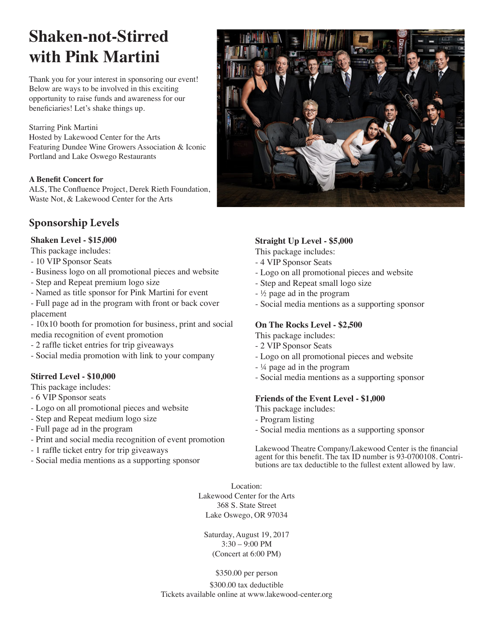# **Shaken-not-Stirred with Pink Martini**

Thank you for your interest in sponsoring our event! Below are ways to be involved in this exciting opportunity to raise funds and awareness for our beneficiaries! Let's shake things up.

Starring Pink Martini Hosted by Lakewood Center for the Arts Featuring Dundee Wine Growers Association & Iconic Portland and Lake Oswego Restaurants

#### **A Benefit Concert for**

ALS, The Confluence Project, Derek Rieth Foundation, Waste Not, & Lakewood Center for the Arts

## **Sponsorship Levels**

#### **Shaken Level - \$15,000**

- This package includes:
- 10 VIP Sponsor Seats
- Business logo on all promotional pieces and website
- Step and Repeat premium logo size
- Named as title sponsor for Pink Martini for event
- Full page ad in the program with front or back cover placement

- 10x10 booth for promotion for business, print and social media recognition of event promotion

- 2 raffle ticket entries for trip giveaways
- Social media promotion with link to your company

#### **Stirred Level - \$10,000**

This package includes:

- 6 VIP Sponsor seats
- Logo on all promotional pieces and website
- Step and Repeat medium logo size
- Full page ad in the program
- Print and social media recognition of event promotion
- 1 raffle ticket entry for trip giveaways
- Social media mentions as a supporting sponsor

#### **Straight Up Level - \$5,000**

- This package includes:
- 4 VIP Sponsor Seats
- Logo on all promotional pieces and website
- Step and Repeat small logo size
- ½ page ad in the program
- Social media mentions as a supporting sponsor

#### **On The Rocks Level - \$2,500**

This package includes:

- 2 VIP Sponsor Seats
- Logo on all promotional pieces and website
- ¼ page ad in the program
- Social media mentions as a supporting sponsor

#### **Friends of the Event Level - \$1,000**

- This package includes:
- Program listing
- Social media mentions as a supporting sponsor

Lakewood Theatre Company/Lakewood Center is the financial agent for this benefit. The tax ID number is 93-0700108. Contri- butions are tax deductible to the fullest extent allowed by law.

Location: Lakewood Center for the Arts 368 S. State Street Lake Oswego, OR 97034

Saturday, August 19, 2017 3:30 – 9:00 PM (Concert at 6:00 PM)

\$350.00 per person \$300.00 tax deductible Tickets available online at www.lakewood-center.org